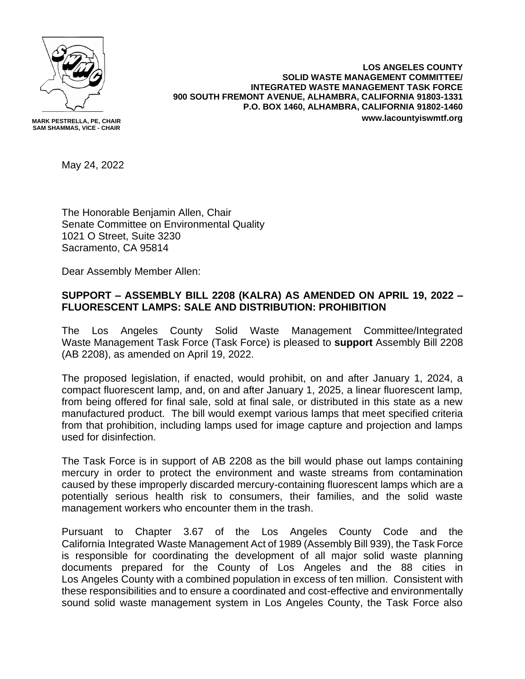

**MARK PESTRELLA, PE, CHAIR SAM SHAMMAS, VICE - CHAIR**

**LOS ANGELES COUNTY SOLID WASTE MANAGEMENT COMMITTEE/ INTEGRATED WASTE MANAGEMENT TASK FORCE 900 SOUTH FREMONT AVENUE, ALHAMBRA, CALIFORNIA 91803-1331 P.O. BOX 1460, ALHAMBRA, CALIFORNIA 91802-1460 www.lacountyiswmtf.org**

May 24, 2022

The Honorable Benjamin Allen, Chair Senate Committee on Environmental Quality 1021 O Street, Suite 3230 Sacramento, CA 95814

Dear Assembly Member Allen:

## **SUPPORT – ASSEMBLY BILL 2208 (KALRA) AS AMENDED ON APRIL 19, 2022 – FLUORESCENT LAMPS: SALE AND DISTRIBUTION: PROHIBITION**

The Los Angeles County Solid Waste Management Committee/Integrated Waste Management Task Force (Task Force) is pleased to **support** Assembly Bill 2208 (AB 2208), as amended on April 19, 2022.

The proposed legislation, if enacted, would prohibit, on and after January 1, 2024, a compact fluorescent lamp, and, on and after January 1, 2025, a linear fluorescent lamp, from being offered for final sale, sold at final sale, or distributed in this state as a new manufactured product. The bill would exempt various lamps that meet specified criteria from that prohibition, including lamps used for image capture and projection and lamps used for disinfection.

The Task Force is in support of AB 2208 as the bill would phase out lamps containing mercury in order to protect the environment and waste streams from contamination caused by these improperly discarded mercury-containing fluorescent lamps which are a potentially serious health risk to consumers, their families, and the solid waste management workers who encounter them in the trash.

Pursuant to Chapter 3.67 of the Los Angeles County Code and the California Integrated Waste Management Act of 1989 (Assembly Bill 939), the Task Force is responsible for coordinating the development of all major solid waste planning documents prepared for the County of Los Angeles and the 88 cities in Los Angeles County with a combined population in excess of ten million. Consistent with these responsibilities and to ensure a coordinated and cost-effective and environmentally sound solid waste management system in Los Angeles County, the Task Force also